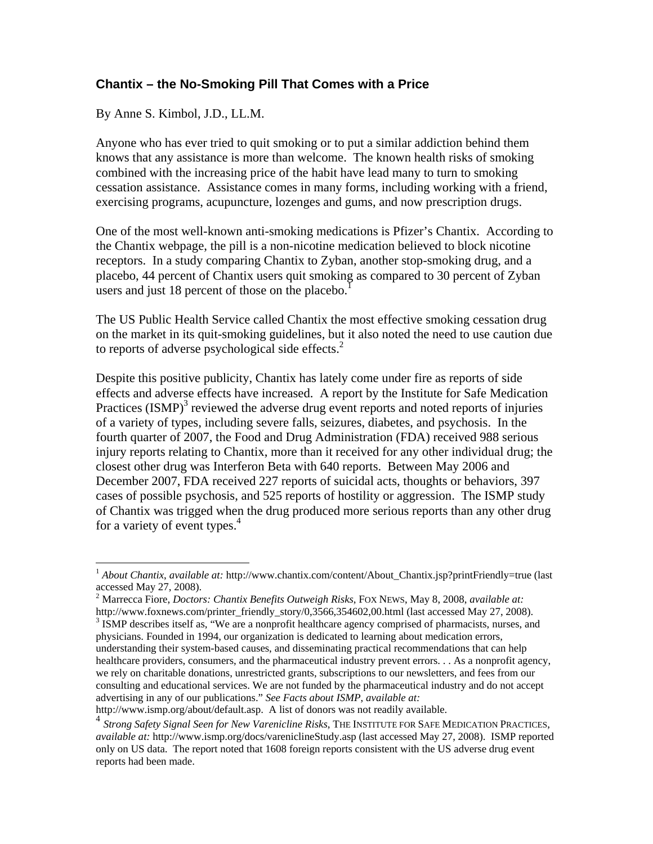## **Chantix – the No-Smoking Pill That Comes with a Price**

By Anne S. Kimbol, J.D., LL.M.

 $\overline{a}$ 

Anyone who has ever tried to quit smoking or to put a similar addiction behind them knows that any assistance is more than welcome. The known health risks of smoking combined with the increasing price of the habit have lead many to turn to smoking cessation assistance. Assistance comes in many forms, including working with a friend, exercising programs, acupuncture, lozenges and gums, and now prescription drugs.

One of the most well-known anti-smoking medications is Pfizer's Chantix. According to the Chantix webpage, the pill is a non-nicotine medication believed to block nicotine receptors. In a study comparing Chantix to Zyban, another stop-smoking drug, and a placebo, 44 percent of Chantix users quit smoking as compared to 30 percent of Zyban users and just 18 percent of those on the placebo.<sup>1</sup>

The US Public Health Service called Chantix the most effective smoking cessation drug on the market in its quit-smoking guidelines, but it also noted the need to use caution due to reports of adverse psychological side effects.<sup>2</sup>

Despite this positive publicity, Chantix has lately come under fire as reports of side effects and adverse effects have increased. A report by the Institute for Safe Medication Practices  $(ISMP)^3$  reviewed the adverse drug event reports and noted reports of injuries of a variety of types, including severe falls, seizures, diabetes, and psychosis. In the fourth quarter of 2007, the Food and Drug Administration (FDA) received 988 serious injury reports relating to Chantix, more than it received for any other individual drug; the closest other drug was Interferon Beta with 640 reports. Between May 2006 and December 2007, FDA received 227 reports of suicidal acts, thoughts or behaviors, 397 cases of possible psychosis, and 525 reports of hostility or aggression. The ISMP study of Chantix was trigged when the drug produced more serious reports than any other drug for a variety of event types.<sup>4</sup>

<sup>&</sup>lt;sup>1</sup> *About Chantix, available at:* http://www.chantix.com/content/About\_Chantix.jsp?printFriendly=true (last accessed May 27, 2008).

<sup>2</sup> Marrecca Fiore, *Doctors: Chantix Benefits Outweigh Risks*, FOX NEWS, May 8, 2008, *available at:* http://www.foxnews.com/printer\_friendly\_story/0,3566,354602,00.html (last accessed May 27, 2008).

<sup>&</sup>lt;sup>3</sup> ISMP describes itself as, "We are a nonprofit healthcare agency comprised of pharmacists, nurses, and physicians. Founded in 1994, our organization is dedicated to learning about medication errors,

understanding their system-based causes, and disseminating practical recommendations that can help healthcare providers, consumers, and the pharmaceutical industry prevent errors. . . As a nonprofit agency, we rely on charitable donations, unrestricted grants, subscriptions to our newsletters, and fees from our consulting and educational services. We are not funded by the pharmaceutical industry and do not accept advertising in any of our publications." *See Facts about ISMP*, *available at:* 

http://www.ismp.org/about/default.asp. A list of donors was not readily available.

<sup>4</sup> *Strong Safety Signal Seen for New Varenicline Risks*, THE INSTITUTE FOR SAFE MEDICATION PRACTICES, *available at:* http://www.ismp.org/docs/vareniclineStudy.asp (last accessed May 27, 2008). ISMP reported only on US data. The report noted that 1608 foreign reports consistent with the US adverse drug event reports had been made.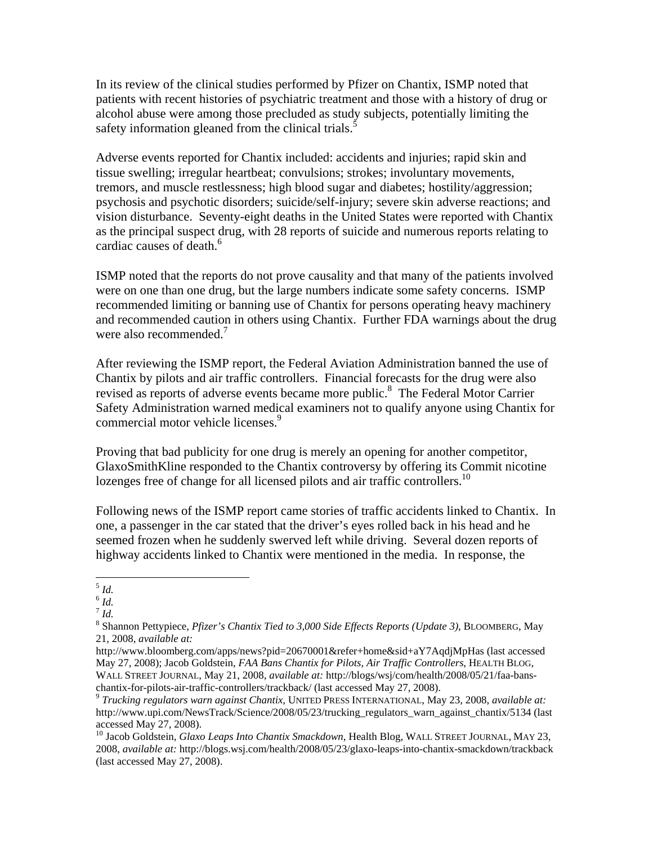In its review of the clinical studies performed by Pfizer on Chantix, ISMP noted that patients with recent histories of psychiatric treatment and those with a history of drug or alcohol abuse were among those precluded as study subjects, potentially limiting the safety information gleaned from the clinical trials. $\frac{1}{2}$ 

Adverse events reported for Chantix included: accidents and injuries; rapid skin and tissue swelling; irregular heartbeat; convulsions; strokes; involuntary movements, tremors, and muscle restlessness; high blood sugar and diabetes; hostility/aggression; psychosis and psychotic disorders; suicide/self-injury; severe skin adverse reactions; and vision disturbance. Seventy-eight deaths in the United States were reported with Chantix as the principal suspect drug, with 28 reports of suicide and numerous reports relating to cardiac causes of death.<sup>6</sup>

ISMP noted that the reports do not prove causality and that many of the patients involved were on one than one drug, but the large numbers indicate some safety concerns. ISMP recommended limiting or banning use of Chantix for persons operating heavy machinery and recommended caution in others using Chantix. Further FDA warnings about the drug were also recommended.<sup>7</sup>

After reviewing the ISMP report, the Federal Aviation Administration banned the use of Chantix by pilots and air traffic controllers. Financial forecasts for the drug were also revised as reports of adverse events became more public.<sup>8</sup> The Federal Motor Carrier Safety Administration warned medical examiners not to qualify anyone using Chantix for commercial motor vehicle licenses.<sup>9</sup>

Proving that bad publicity for one drug is merely an opening for another competitor, GlaxoSmithKline responded to the Chantix controversy by offering its Commit nicotine lozenges free of change for all licensed pilots and air traffic controllers.<sup>10</sup>

Following news of the ISMP report came stories of traffic accidents linked to Chantix. In one, a passenger in the car stated that the driver's eyes rolled back in his head and he seemed frozen when he suddenly swerved left while driving. Several dozen reports of highway accidents linked to Chantix were mentioned in the media. In response, the

 $\overline{a}$ <sup>5</sup> *Id.* 

 $6$   $Id.$ 

<sup>7</sup> *Id.* 

<sup>8</sup> Shannon Pettypiece, *Pfizer's Chantix Tied to 3,000 Side Effects Reports (Update 3)*, BLOOMBERG, May 21, 2008, *available at:*

http://www.bloomberg.com/apps/news?pid=20670001&refer+home&sid+aY7AqdjMpHas (last accessed May 27, 2008); Jacob Goldstein, *FAA Bans Chantix for Pilots, Air Traffic Controllers*, HEALTH BLOG, WALL STREET JOURNAL, May 21, 2008, *available at:* http://blogs/wsj/com/health/2008/05/21/faa-banschantix-for-pilots-air-traffic-controllers/trackback/ (last accessed May 27, 2008). 9 *Trucking regulators warn against Chantix*, UNITED PRESS INTERNATIONAL, May 23, 2008, *available at:*

http://www.upi.com/NewsTrack/Science/2008/05/23/trucking\_regulators\_warn\_against\_chantix/5134 (last accessed May 27, 2008).

<sup>&</sup>lt;sup>10</sup> Jacob Goldstein, *Glaxo Leaps Into Chantix Smackdown*, Health Blog, WALL STREET JOURNAL, MAY 23, 2008, *available at:* http://blogs.wsj.com/health/2008/05/23/glaxo-leaps-into-chantix-smackdown/trackback (last accessed May 27, 2008).